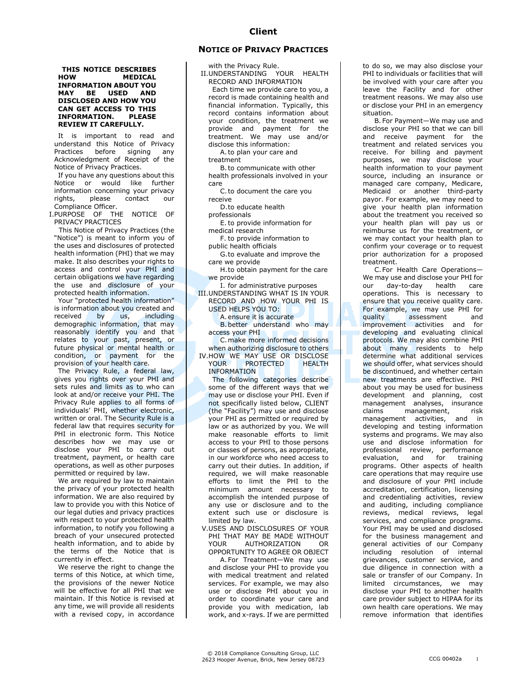## **THIS NOTICE DESCRIBES HOW MEDICAL INFORMATION ABOUT YOU MAY BE USED AND DISCLOSED AND HOW YOU CAN GET ACCESS TO THIS INFORMATION. PLEASE REVIEW IT CAREFULLY.**

It is important to read and understand this Notice of Privacy Practices before signing any Acknowledgment of Receipt of the Notice of Privacy Practices.

If you have any questions about this Notice or would like further information concerning your privacy rights, please contact our Compliance Officer.

I.PURPOSE OF THE NOTICE OF PRIVACY PRACTICES

 This Notice of Privacy Practices (the "Notice") is meant to inform you of the uses and disclosures of protected health information (PHI) that we may make. It also describes your rights to access and control your PHI and certain obligations we have regarding the use and disclosure of your protected health information.

Your "protected health information" is information about you created and received by us, including demographic information, that may reasonably identify you and that relates to your past, present, or future physical or mental health or condition, or payment for the provision of your health care.

The Privacy Rule, a federal law, gives you rights over your PHI and sets rules and limits as to who can look at and/or receive your PHI. The Privacy Rule applies to all forms of individuals' PHI, whether electronic, written or oral. The Security Rule is a federal law that requires security for PHI in electronic form. This Notice describes how we may use or disclose your PHI to carry out treatment, payment, or health care operations, as well as other purposes permitted or required by law.

We are required by law to maintain the privacy of your protected health information. We are also required by law to provide you with this Notice of our legal duties and privacy practices with respect to your protected health information, to notify you following a breach of your unsecured protected health information, and to abide by the terms of the Notice that is currently in effect.

We reserve the right to change the terms of this Notice, at which time, the provisions of the newer Notice will be effective for all PHI that we maintain. If this Notice is revised at any time, we will provide all residents with a revised copy, in accordance

## **NOTICE OF PRIVACY PRACTICES**

with the Privacy Rule.

II.UNDERSTANDING YOUR HEALTH RECORD AND INFORMATION Each time we provide care to you, a

record is made containing health and financial information. Typically, this record contains information about your condition, the treatment we provide and payment for the treatment. We may use and/or disclose this information:

A.to plan your care and treatment

B.to communicate with other health professionals involved in your care

C.to document the care you receive

D.to educate health

professionals

E.to provide information for medical research

F. to provide information to public health officials

G.to evaluate and improve the care we provide

H.to obtain payment for the care we provide

I. for administrative purposes III.UNDERSTANDING WHAT IS IN YOUR RECORD AND HOW YOUR PHI IS

USED HELPS YOU TO: A.ensure it is accurate

B.better understand who may access your PHI

C.make more informed decisions when authorizing disclosure to others IV.HOW WE MAY USE OR DISCLOSE PROTECTED

INFORMATION

The following categories describe some of the different ways that we may use or disclose your PHI. Even if not specifically listed below, CLIENT (the "Facility") may use and disclose your PHI as permitted or required by law or as authorized by you. We will make reasonable efforts to limit access to your PHI to those persons or classes of persons, as appropriate, in our workforce who need access to carry out their duties. In addition, if required, we will make reasonable efforts to limit the PHI to the minimum amount necessary to accomplish the intended purpose of any use or disclosure and to the extent such use or disclosure is limited by law.

V.USES AND DISCLOSURES OF YOUR PHI THAT MAY BE MADE WITHOUT AUTHORIZATION OR OPPORTUNITY TO AGREE OR OBJECT

A. For Treatment—We may use and disclose your PHI to provide you with medical treatment and related services. For example, we may also use or disclose PHI about you in order to coordinate your care and provide you with medication, lab work, and x-rays. If we are permitted

to do so, we may also disclose your PHI to individuals or facilities that will be involved with your care after you leave the Facility and for other treatment reasons. We may also use or disclose your PHI in an emergency situation.

B. For Payment—We may use and disclose your PHI so that we can bill and receive payment for the treatment and related services you receive. For billing and payment purposes, we may disclose your health information to your payment source, including an insurance or managed care company, Medicare, Medicaid or another third-party payor. For example, we may need to give your health plan information about the treatment you received so your health plan will pay us or reimburse us for the treatment, or we may contact your health plan to confirm your coverage or to request prior authorization for a proposed treatment.

C.For Health Care Operations— We may use and disclose your PHI for our day-to-day health care operations. This is necessary to ensure that you receive quality care. For example, we may use PHI for quality assessment and improvement activities and for developing and evaluating clinical protocols. We may also combine PHI about many residents to help determine what additional services we should offer, what services should be discontinued, and whether certain new treatments are effective. PHI about you may be used for business development and planning, cost management analyses, insurance claims management, risk management activities, and in developing and testing information systems and programs. We may also use and disclose information for professional review, performance<br>evaluation, and for training evaluation, and for programs. Other aspects of health care operations that may require use and disclosure of your PHI include accreditation, certification, licensing and credentialing activities, review and auditing, including compliance reviews, medical reviews, legal services, and compliance programs. Your PHI may be used and disclosed for the business management and general activities of our Company including resolution of internal grievances, customer service, and due diligence in connection with a sale or transfer of our Company. In limited circumstances, we may disclose your PHI to another health care provider subject to HIPAA for its own health care operations. We may remove information that identifies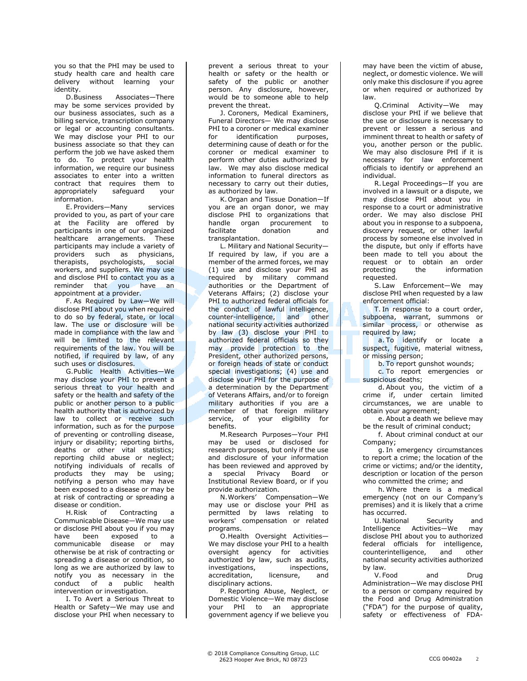you so that the PHI may be used to study health care and health care delivery without learning your identity.

D.Business Associates—There may be some services provided by our business associates, such as a billing service, transcription company or legal or accounting consultants. We may disclose your PHI to our business associate so that they can perform the job we have asked them to do. To protect your health information, we require our business associates to enter into a written contract that requires them to appropriately safeguard your information.

E. Providers—Many services provided to you, as part of your care at the Facility are offered by participants in one of our organized healthcare arrangements. These participants may include a variety of providers such as physicians, therapists, psychologists, social workers, and suppliers. We may use and disclose PHI to contact you as a reminder that you have an appointment at a provider.

F. As Required by Law—We will disclose PHI about you when required to do so by federal, state, or local law. The use or disclosure will be made in compliance with the law and will be limited to the relevant requirements of the law. You will be notified, if required by law, of any such uses or disclosures.

G.Public Health Activities—We may disclose your PHI to prevent a serious threat to your health and safety or the health and safety of the public or another person to a public health authority that is authorized by law to collect or receive such information, such as for the purpose of preventing or controlling disease, injury or disability; reporting births, deaths or other vital statistics; reporting child abuse or neglect; notifying individuals of recalls of products they may be using; notifying a person who may have been exposed to a disease or may be at risk of contracting or spreading a disease or condition.

H.Risk of Contracting a Communicable Disease—We may use or disclose PHI about you if you may have been exposed to a communicable disease or may otherwise be at risk of contracting or spreading a disease or condition, so long as we are authorized by law to notify you as necessary in the conduct of a public health intervention or investigation.

I. To Avert a Serious Threat to Health or Safety—We may use and disclose your PHI when necessary to prevent a serious threat to your health or safety or the health or safety of the public or another person. Any disclosure, however, would be to someone able to help prevent the threat.

J. Coroners, Medical Examiners, Funeral Directors— We may disclose PHI to a coroner or medical examiner for identification purposes, determining cause of death or for the coroner or medical examiner to perform other duties authorized by law. We may also disclose medical information to funeral directors as necessary to carry out their duties, as authorized by law.

K.Organ and Tissue Donation—If you are an organ donor, we may disclose PHI to organizations that handle organ procurement to facilitate donation and transplantation.

L. Military and National Security— If required by law, if you are a member of the armed forces, we may (1) use and disclose your PHI as required by military command authorities or the Department of Veterans Affairs; (2) disclose your PHI to authorized federal officials for the conduct of lawful intelligence, counter-intelligence, and other national security activities authorized by law (3) disclose your PHI to authorized federal officials so they may provide protection to the President, other authorized persons, or foreign heads of state or conduct special investigations; (4) use and disclose your PHI for the purpose of a determination by the Department of Veterans Affairs, and/or to foreign military authorities if you are a member of that foreign military service, of your eligibility for benefits.

M.Research Purposes—Your PHI may be used or disclosed for research purposes, but only if the use and disclosure of your information has been reviewed and approved by a special Privacy Board or Institutional Review Board, or if you provide authorization.

N.Workers' Compensation—We may use or disclose your PHI as permitted by laws relating to workers' compensation or related programs.

O.Health Oversight Activities— We may disclose your PHI to a health oversight agency for activities authorized by law, such as audits, investigations, inspections, accreditation, licensure, and disciplinary actions.

P. Reporting Abuse, Neglect, or Domestic Violence—We may disclose your PHI to an appropriate government agency if we believe you may have been the victim of abuse, neglect, or domestic violence. We will only make this disclosure if you agree or when required or authorized by law.

Q.Criminal Activity—We may disclose your PHI if we believe that the use or disclosure is necessary to prevent or lessen a serious and imminent threat to health or safety of you, another person or the public. We may also disclosure PHI if it is necessary for law enforcement officials to identify or apprehend an individual.

R.Legal Proceedings—If you are involved in a lawsuit or a dispute, we may disclose PHI about you in response to a court or administrative order. We may also disclose PHI about you in response to a subpoena, discovery request, or other lawful process by someone else involved in the dispute, but only if efforts have been made to tell you about the request or to obtain an order protecting the information requested.

S. Law Enforcement—We may disclose PHI when requested by a law enforcement official:

T. In response to a court order, subpoena, warrant, summons or similar process, or otherwise as required by law;

a. To identify or locate a suspect, fugitive, material witness, or missing person;

b. To report gunshot wounds;

c. To report emergencies or suspicious deaths;

d. About you, the victim of a crime if, under certain limited circumstances, we are unable to obtain your agreement;

e. About a death we believe may be the result of criminal conduct;

f. About criminal conduct at our Company;

g. In emergency circumstances to report a crime; the location of the crime or victims; and/or the identity, description or location of the person who committed the crime; and

h. Where there is a medical emergency (not on our Company's premises) and it is likely that a crime has occurred.

U.National Security and Intelligence Activities—We may disclose PHI about you to authorized federal officials for intelligence,<br>counterintelligence, and other counterintelligence, and other national security activities authorized by law.

V. Food and Drug Administration—We may disclose PHI to a person or company required by the Food and Drug Administration ("FDA") for the purpose of quality, safety or effectiveness of FDA-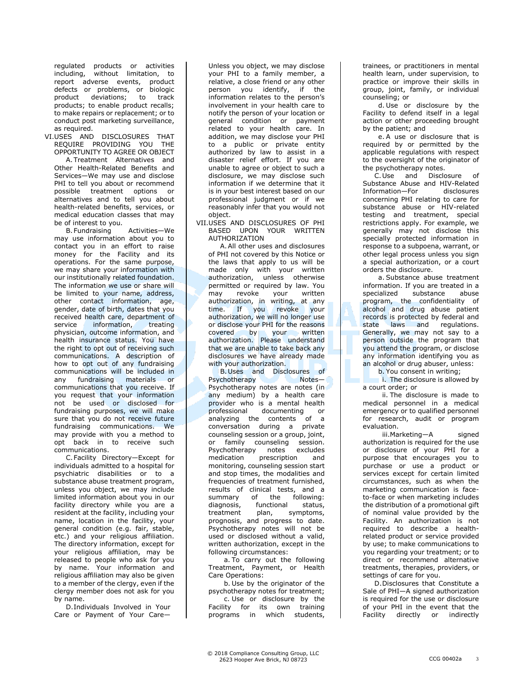regulated products or activities including, without limitation, to report adverse events, product defects or problems, or biologic product deviations; to track products; to enable product recalls; to make repairs or replacement; or to conduct post marketing surveillance, as required.

VI.USES AND DISCLOSURES THAT REQUIRE PROVIDING YOU THE OPPORTUNITY TO AGREE OR OBJECT A.Treatment Alternatives and Other Health-Related Benefits and Services—We may use and disclose PHI to tell you about or recommend possible treatment options or alternatives and to tell you about health-related benefits, services, or medical education classes that may be of interest to you.

B. Fundraising Activities—We may use information about you to contact you in an effort to raise money for the Facility and its operations. For the same purpose, we may share your information with our institutionally related foundation. The information we use or share will be limited to your name, address, other contact information, age, gender, date of birth, dates that you received health care, department of service information, treating physician, outcome information, and health insurance status. You have the right to opt out of receiving such communications. A description of how to opt out of any fundraising communications will be included in any fundraising materials or communications that you receive. If you request that your information not be used or disclosed for fundraising purposes, we will make sure that you do not receive future fundraising communications. We may provide with you a method to opt back in to receive such communications.

C.Facility Directory—Except for individuals admitted to a hospital for psychiatric disabilities or to a substance abuse treatment program, unless you object, we may include limited information about you in our facility directory while you are a resident at the facility, including your name, location in the facility, your general condition (e.g. fair, stable, etc.) and your religious affiliation. The directory information, except for your religious affiliation, may be released to people who ask for you by name. Your information and religious affiliation may also be given to a member of the clergy, even if the clergy member does not ask for you by name.

D.Individuals Involved in Your Care or Payment of Your CareUnless you object, we may disclose your PHI to a family member, a relative, a close friend or any other person you identify, if the information relates to the person's involvement in your health care to notify the person of your location or general condition or payment related to your health care. In addition, we may disclose your PHI to a public or private entity authorized by law to assist in a disaster relief effort. If you are unable to agree or object to such a disclosure, we may disclose such information if we determine that it is in your best interest based on our professional judgment or if we reasonably infer that you would not object.

VII.USES AND DISCLOSURES OF PHI BASED UPON YOUR WRITTEN AUTHORIZATION

A.All other uses and disclosures of PHI not covered by this Notice or the laws that apply to us will be made only with your written authorization, unless otherwise permitted or required by law. You may revoke your written authorization, in writing, at any time. If you revoke your authorization, we will no longer use or disclose your PHI for the reasons<br>covered by your written covered by your written authorization. Please understand that we are unable to take back any disclosures we have already made with your authorization.

B.Uses and Disclosures of Psychotherapy Notes— Psychotherapy notes are notes (in any medium) by a health care provider who is a mental health professional documenting or analyzing the contents of a conversation during a private counseling session or a group, joint, or family counseling session. Psychotherapy notes excludes medication prescription and monitoring, counseling session start and stop times, the modalities and frequencies of treatment furnished, results of clinical tests, and a summary of the following: diagnosis, functional status, treatment plan, symptoms, prognosis, and progress to date. Psychotherapy notes will not be used or disclosed without a valid, written authorization, except in the following circumstances:

a. To carry out the following Treatment, Payment, or Health Care Operations:

b. Use by the originator of the psychotherapy notes for treatment; c. Use or disclosure by the Facility for its own training programs in which students,

trainees, or practitioners in mental health learn, under supervision, to practice or improve their skills in group, joint, family, or individual counseling; or

d. Use or disclosure by the Facility to defend itself in a legal action or other proceeding brought by the patient; and

e. A use or disclosure that is required by or permitted by the applicable regulations with respect to the oversight of the originator of the psychotherapy notes.

C.Use and Disclosure of Substance Abuse and HIV-Related Information—For disclosures concerning PHI relating to care for substance abuse or HIV-related testing and treatment, special restrictions apply. For example, we generally may not disclose this specially protected information in response to a subpoena, warrant, or other legal process unless you sign a special authorization, or a court orders the disclosure.

a. Substance abuse treatment information. If you are treated in a<br>specialized substance abuse substance abuse program, the confidentiality of alcohol and drug abuse patient records is protected by federal and state laws and regulations. Generally, we may not say to a person outside the program that you attend the program, or disclose any information identifying you as an alcohol or drug abuser, unless:

b. You consent in writing;

i. The disclosure is allowed by a court order; or

ii. The disclosure is made to medical personnel in a medical emergency or to qualified personnel for research, audit or program evaluation.

iii.Marketing—A signed authorization is required for the use or disclosure of your PHI for a purpose that encourages you to purchase or use a product or services except for certain limited circumstances, such as when the marketing communication is faceto-face or when marketing includes the distribution of a promotional gift of nominal value provided by the Facility. An authorization is not required to describe a healthrelated product or service provided by use; to make communications to you regarding your treatment; or to direct or recommend alternative treatments, therapies, providers, or settings of care for you.

D.Disclosures that Constitute a Sale of PHI—A signed authorization is required for the use or disclosure of your PHI in the event that the Facility directly or indirectly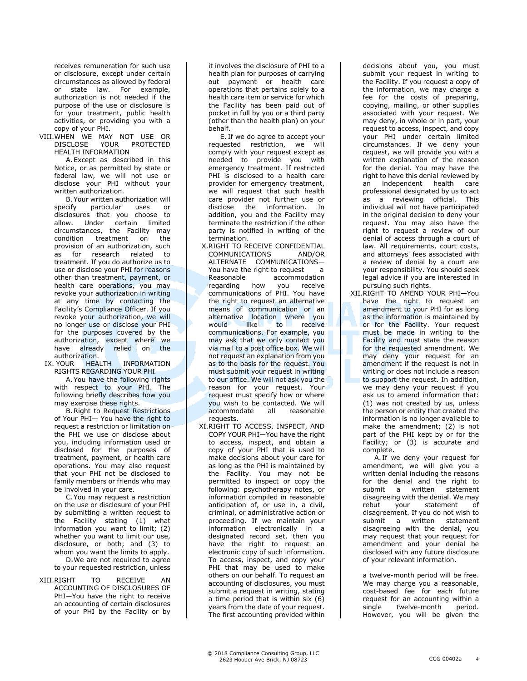receives remuneration for such use or disclosure, except under certain circumstances as allowed by federal or state law. For example, authorization is not needed if the purpose of the use or disclosure is for your treatment, public health activities, or providing you with a copy of your PHI.

VIII.WHEN WE MAY NOT USE OR DISCLOSE YOUR PROTECTED HEALTH INFORMATION

A.Except as described in this Notice, or as permitted by state or federal law, we will not use or disclose your PHI without your written authorization.

B. Your written authorization will<br>specify particular uses or particular uses or disclosures that you choose to allow. Under certain limited circumstances, the Facility may condition treatment on the provision of an authorization, such as for research related to treatment. If you do authorize us to use or disclose your PHI for reasons other than treatment, payment, or health care operations, you may revoke your authorization in writing at any time by contacting the Facility's Compliance Officer. If you revoke your authorization, we will no longer use or disclose your PHI for the purposes covered by the authorization, except where we have already relied on the

authorization.<br>IX.YOUR HEALTH INFORMATION RIGHTS REGARDING YOUR PHI A.You have the following rights

with respect to your PHI. The following briefly describes how you may exercise these rights.

B.Right to Request Restrictions of Your PHI— You have the right to request a restriction or limitation on the PHI we use or disclose about you, including information used or disclosed for the purposes of treatment, payment, or health care operations. You may also request that your PHI not be disclosed to family members or friends who may be involved in your care.

C.You may request a restriction on the use or disclosure of your PHI by submitting a written request to the Facility stating (1) what information you want to limit; (2) whether you want to limit our use, disclosure, or both; and (3) to whom you want the limits to apply. D.We are not required to agree

to your requested restriction, unless

XIII.RIGHT TO RECEIVE AN ACCOUNTING OF DISCLOSURES OF PHI—You have the right to receive an accounting of certain disclosures of your PHI by the Facility or by

it involves the disclosure of PHI to a health plan for purposes of carrying out payment or health care operations that pertains solely to a health care item or service for which the Facility has been paid out of pocket in full by you or a third party (other than the health plan) on your behalf.

E. If we do agree to accept your requested restriction, we will comply with your request except as needed to provide you with emergency treatment. If restricted PHI is disclosed to a health care provider for emergency treatment, we will request that such health care provider not further use or disclose the information. In addition, you and the Facility may terminate the restriction if the other party is notified in writing of the termination.

- X.RIGHT TO RECEIVE CONFIDENTIAL COMMUNICATIONS AND/OR ALTERNATE COMMUNICATIONS— You have the right to request a Reasonable accommodation<br>regarding how you receive regarding how you communications of PHI. You have the right to request an alternative means of communication or an alternative location where you would like to receive communications. For example, you may ask that we only contact you via mail to a post office box. We will not request an explanation from you as to the basis for the request. You must submit your request in writing to our office. We will not ask you the reason for your request. Your request must specify how or where you wish to be contacted. We will accommodate all reasonable requests.
- XI.RIGHT TO ACCESS, INSPECT, AND COPY YOUR PHI—You have the right to access, inspect, and obtain a copy of your PHI that is used to make decisions about your care for as long as the PHI is maintained by the Facility. You may not be permitted to inspect or copy the following: psychotherapy notes, or information compiled in reasonable anticipation of, or use in, a civil, criminal, or administrative action or proceeding. If we maintain your information electronically in a designated record set, then you have the right to request an electronic copy of such information. To access, inspect, and copy your PHI that may be used to make others on our behalf. To request an accounting of disclosures, you must submit a request in writing, stating a time period that is within six (6) years from the date of your request. The first accounting provided within

decisions about you, you must submit your request in writing to the Facility. If you request a copy of the information, we may charge a fee for the costs of preparing, copying, mailing, or other supplies associated with your request. We may deny, in whole or in part, your request to access, inspect, and copy your PHI under certain limited circumstances. If we deny your request, we will provide you with a written explanation of the reason for the denial. You may have the right to have this denial reviewed by an independent health care professional designated by us to act as a reviewing official. This individual will not have participated in the original decision to deny your request. You may also have the right to request a review of our denial of access through a court of law. All requirements, court costs, and attorneys' fees associated with a review of denial by a court are your responsibility. You should seek legal advice if you are interested in pursuing such rights.

XII.RIGHT TO AMEND YOUR PHI—You have the right to request an amendment to your PHI for as long as the information is maintained by or for the Facility. Your request must be made in writing to the Facility and must state the reason for the requested amendment. We may deny your request for an amendment if the request is not in writing or does not include a reason to support the request. In addition, we may deny your request if you ask us to amend information that: (1) was not created by us, unless the person or entity that created the information is no longer available to make the amendment; (2) is not part of the PHI kept by or for the Facility; or (3) is accurate and complete.

A. If we deny your request for amendment, we will give you a written denial including the reasons for the denial and the right to submit a written statement disagreeing with the denial. We may rebut your statement of disagreement. If you do not wish to submit a written statement disagreeing with the denial, you may request that your request for amendment and your denial be disclosed with any future disclosure of your relevant information.

a twelve-month period will be free. We may charge you a reasonable, cost-based fee for each future request for an accounting within a single twelve-month period. However, you will be given the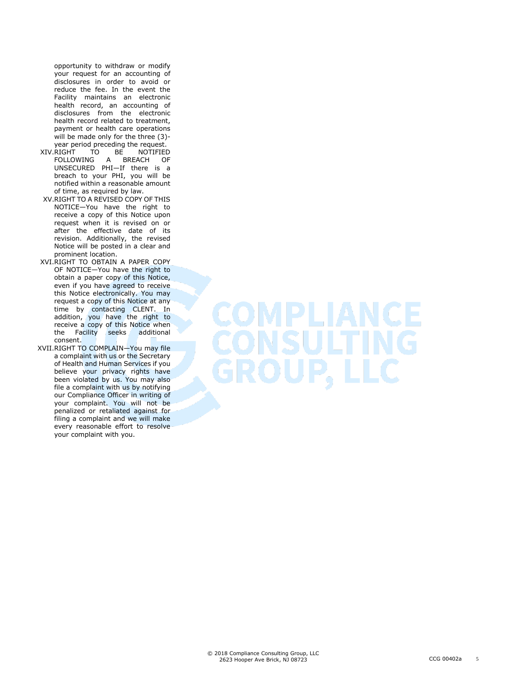opportunity to withdraw or modify your request for an accounting of disclosures in order to avoid or reduce the fee. In the event the Facility maintains an electronic health record, an accounting of disclosures from the electronic health record related to treatment, payment or health care operations will be made only for the three (3)-

- year period preceding the request.<br>RIGHT TO BE NOTIFIED XIV.RIGHT TO BE FOLLOWING A BREACH OF UNSECURED PHI—If there is a breach to your PHI, you will be notified within a reasonable amount of time, as required by law.
- XV.RIGHT TO A REVISED COPY OF THIS NOTICE—You have the right to receive a copy of this Notice upon request when it is revised on or after the effective date of its revision. Additionally, the revised Notice will be posted in a clear and prominent location.
- XVI.RIGHT TO OBTAIN A PAPER COPY OF NOTICE—You have the right to obtain a paper copy of this Notice, even if you have agreed to receive this Notice electronically. You may request a copy of this Notice at any time by contacting CLENT. In addition, you have the right to receive a copy of this Notice when<br>the Facility seeks additional the Facility seeks consent.
- XVII.RIGHT TO COMPLAIN—You may file a complaint with us or the Secretary of Health and Human Services if you believe your privacy rights have been violated by us. You may also file a complaint with us by notifying our Compliance Officer in writing of your complaint. You will not be penalized or retaliated against for filing a complaint and we will make every reasonable effort to resolve your complaint with you.